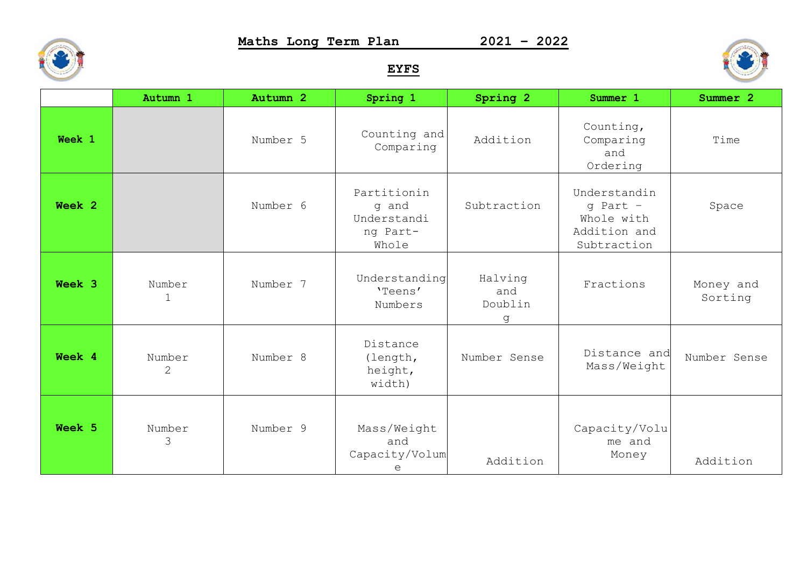S.

**Maths Long Term Plan 2021 – 2022**

## **EYFS**

|        | Autumn 1                 | Autumn 2 | Spring 1                                                 | Spring 2                       | Summer 1                                                                  | Summer 2             |
|--------|--------------------------|----------|----------------------------------------------------------|--------------------------------|---------------------------------------------------------------------------|----------------------|
| Week 1 |                          | Number 5 | Counting and<br>Comparing                                | Addition                       | Counting,<br>Comparing<br>and<br>Ordering                                 | Time                 |
| Week 2 |                          | Number 6 | Partitionin<br>q and<br>Understandi<br>ng Part-<br>Whole | Subtraction                    | Understandin<br>$q$ Part $-$<br>Whole with<br>Addition and<br>Subtraction | Space                |
| Week 3 | Number<br>$\mathbf{1}$   | Number 7 | Understanding<br>'Teens'<br>Numbers                      | Halving<br>and<br>Doublin<br>q | Fractions                                                                 | Money and<br>Sorting |
| Week 4 | Number<br>$\overline{2}$ | Number 8 | Distance<br>(length,<br>height,<br>width)                | Number Sense                   | Distance and<br>Mass/Weight                                               | Number Sense         |
| Week 5 | Number<br>3              | Number 9 | Mass/Weight<br>and<br>Capacity/Volum<br>e                | Addition                       | Capacity/Volu<br>me and<br>Money                                          | Addition             |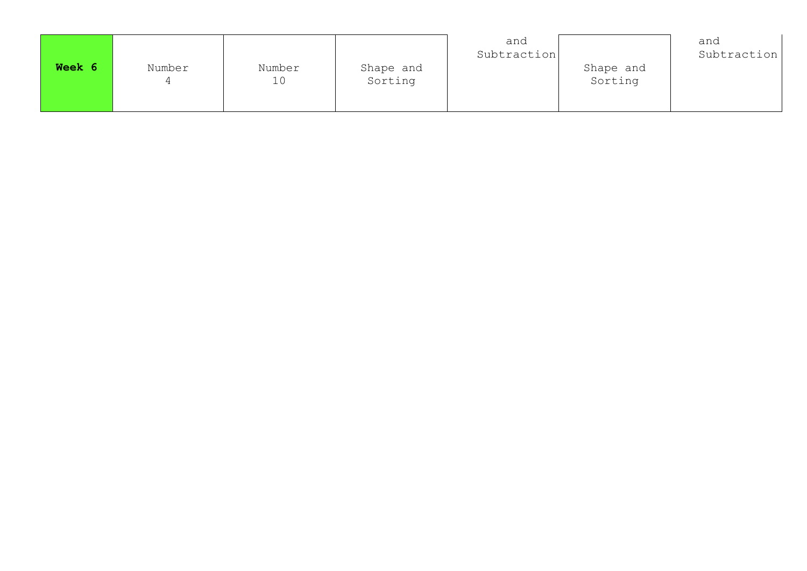|        |        |              |                      | and<br>Subtraction |                      | and<br>Subtraction |
|--------|--------|--------------|----------------------|--------------------|----------------------|--------------------|
| Week 6 | Number | Number<br>10 | Shape and<br>Sorting |                    | Shape and<br>Sorting |                    |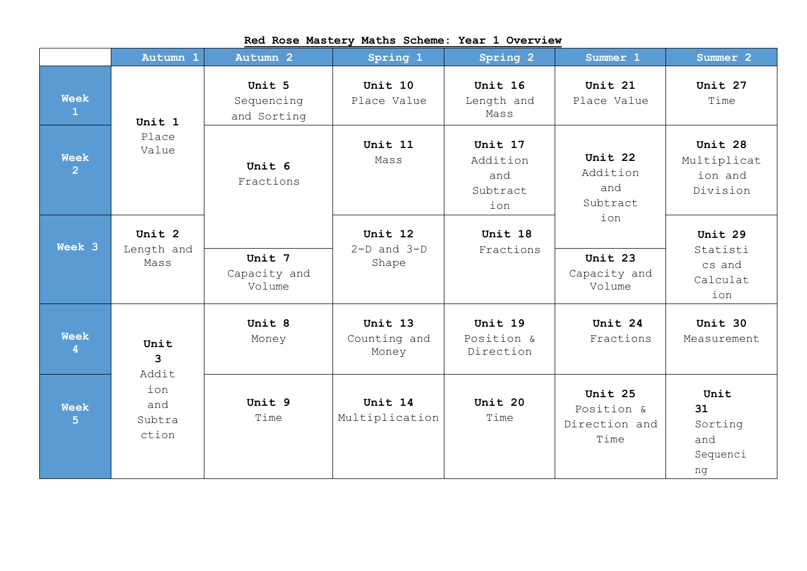|                               | Autumn 1                      | Autumn 2                            | Spring 1                            | Spring 2                                      | Summer 1                                       | Summer 2                                         |  |
|-------------------------------|-------------------------------|-------------------------------------|-------------------------------------|-----------------------------------------------|------------------------------------------------|--------------------------------------------------|--|
| <b>Week</b><br>$\mathbf{1}$   | Unit 1                        | Unit 5<br>Sequencing<br>and Sorting | Unit 10<br>Place Value              | Unit 16<br>Length and<br>Mass                 | Unit 21<br>Place Value                         | Unit 27<br>Time                                  |  |
| <b>Week</b><br>$\overline{2}$ | Place<br>Value                | Unit 6<br>Fractions                 | Unit 11<br>Mass                     | Unit 17<br>Addition<br>and<br>Subtract<br>ion | Unit 22<br>Addition<br>and<br>Subtract         | Unit 28<br>Multiplicat<br>ion and<br>Division    |  |
| Week 3                        | Unit 2<br>Length and<br>Mass  | Unit 7<br>Capacity and<br>Volume    | Unit 12<br>$2-D$ and $3-D$<br>Shape | Unit 18<br>Fractions                          | ion<br>Unit 23<br>Capacity and<br>Volume       | Unit 29<br>Statisti<br>cs and<br>Calculat<br>ion |  |
| <b>Week</b><br>4              | Unit<br>3<br>Addit            | Unit 8<br>Money                     | Unit 13<br>Counting and<br>Money    | Unit 19<br>Position &<br>Direction            | Unit 24<br>Fractions                           | Unit 30<br>Measurement                           |  |
| <b>Week</b><br>5.             | ion<br>and<br>Subtra<br>ction | Unit 9<br>Time                      | Unit 14<br>Multiplication           | Unit 20<br>Time                               | Unit 25<br>Position &<br>Direction and<br>Time | Unit<br>31<br>Sorting<br>and<br>Sequenci<br>ng   |  |

## **Red Rose Mastery Maths Scheme: Year 1 Overview**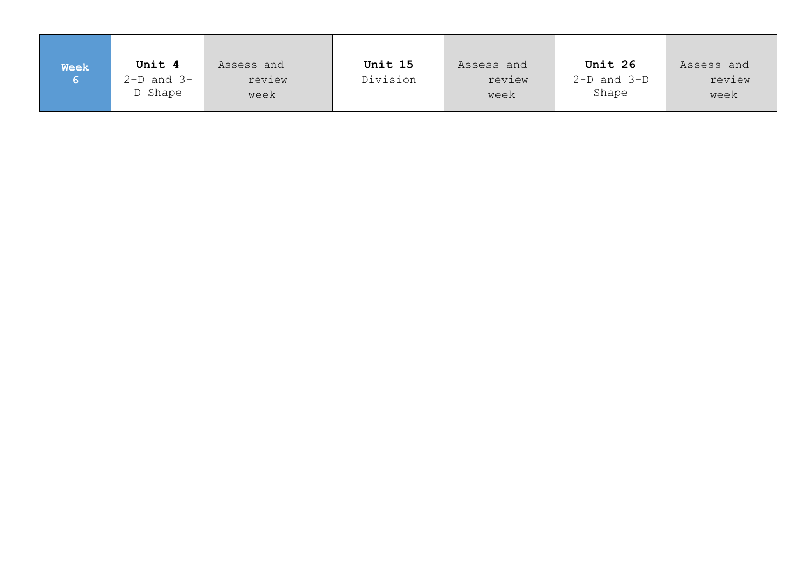| <b>Week</b> | Unit 4                     | Assess and     | Unit 15  | Assess and     | Unit 26                  | Assess and     |
|-------------|----------------------------|----------------|----------|----------------|--------------------------|----------------|
|             | $2-D$ and $3-D$<br>D Shape | review<br>week | Division | review<br>week | $2-D$ and $3-D$<br>Shape | review<br>week |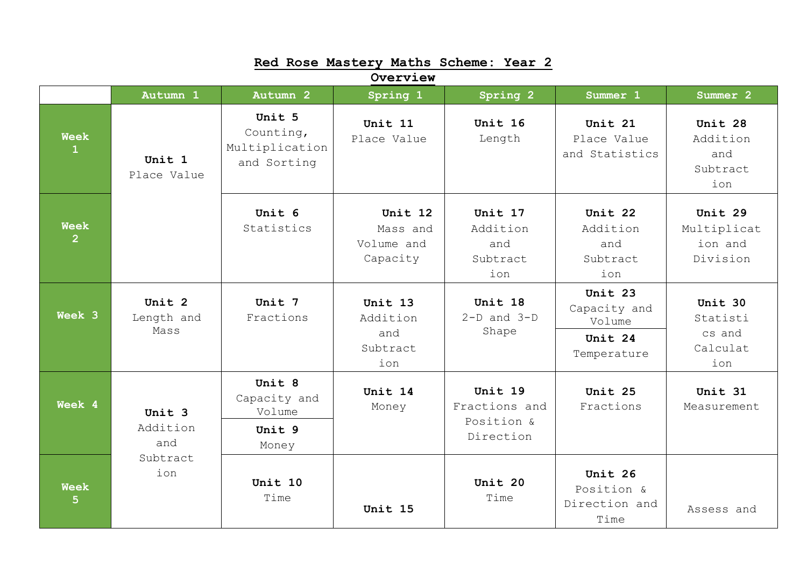| Red Rose Mastery Maths Scheme: Year 2 |                              |                                                      |                                               |                                                     |                                                             |                                                  |  |  |
|---------------------------------------|------------------------------|------------------------------------------------------|-----------------------------------------------|-----------------------------------------------------|-------------------------------------------------------------|--------------------------------------------------|--|--|
|                                       |                              |                                                      | Overview                                      |                                                     |                                                             |                                                  |  |  |
|                                       | Autumn 1                     | Autumn 2                                             | Spring 1                                      | Spring 2                                            | Summer 1                                                    | Summer <sub>2</sub>                              |  |  |
| <b>Week</b><br>$\mathbf{1}$           | Unit 1<br>Place Value        | Unit 5<br>Counting,<br>Multiplication<br>and Sorting | Unit 11<br>Place Value                        | Unit 16<br>Length                                   | Unit 21<br>Place Value<br>and Statistics                    | Unit 28<br>Addition<br>and<br>Subtract<br>ion    |  |  |
| <b>Week</b><br>$\overline{2}$         |                              | Unit 6<br>Statistics                                 | Unit 12<br>Mass and<br>Volume and<br>Capacity | Unit 17<br>Addition<br>and<br>Subtract<br>ion       | Unit 22<br>Addition<br>and<br>Subtract<br>ion               | Unit 29<br>Multiplicat<br>ion and<br>Division    |  |  |
| Week 3                                | Unit 2<br>Length and<br>Mass | Unit 7<br>Fractions                                  | Unit 13<br>Addition<br>and<br>Subtract<br>ion | Unit 18<br>$2-D$ and $3-D$<br>Shape                 | Unit 23<br>Capacity and<br>Volume<br>Unit 24<br>Temperature | Unit 30<br>Statisti<br>cs and<br>Calculat<br>ion |  |  |
| Week 4                                | Unit 3<br>Addition<br>and    | Unit 8<br>Capacity and<br>Volume<br>Unit 9<br>Money  | Unit 14<br>Money                              | Unit 19<br>Fractions and<br>Position &<br>Direction | Unit 25<br>Fractions                                        | Unit 31<br>Measurement                           |  |  |
| <b>Week</b><br>5                      | Subtract<br>ion              | Unit 10<br>Time                                      | Unit 15                                       | Unit 20<br>Time                                     | Unit 26<br>Position &<br>Direction and<br>Time              | Assess and                                       |  |  |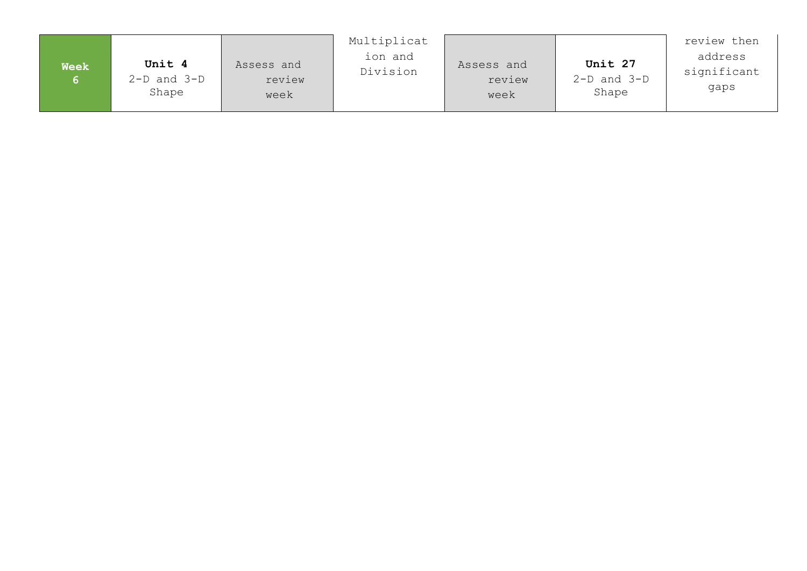|             |                                    |                              | Multiplicat         |                              |                                     | review then                    |
|-------------|------------------------------------|------------------------------|---------------------|------------------------------|-------------------------------------|--------------------------------|
| <b>Week</b> | Unit 4<br>$2-D$ and $3-D$<br>Shape | Assess and<br>review<br>week | ion and<br>Division | Assess and<br>review<br>week | Unit 27<br>$2-D$ and $3-D$<br>Shape | address<br>significant<br>qaps |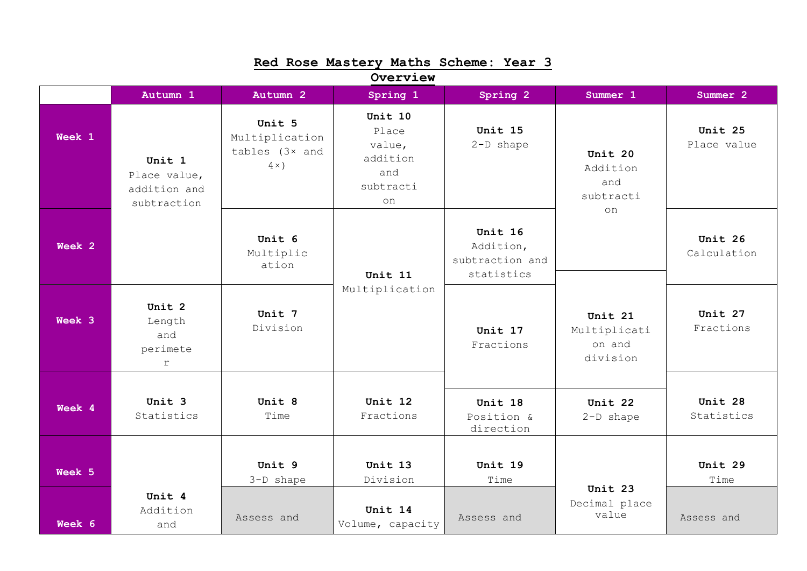| Red Rose Mastery Maths Scheme: Year 3 |                                                       |                                                                  |                                                                  |                                                       |                                               |                        |  |  |
|---------------------------------------|-------------------------------------------------------|------------------------------------------------------------------|------------------------------------------------------------------|-------------------------------------------------------|-----------------------------------------------|------------------------|--|--|
|                                       |                                                       |                                                                  | Overview                                                         |                                                       |                                               |                        |  |  |
|                                       | Autumn 1                                              | Autumn <sub>2</sub>                                              | Spring 1                                                         | Spring 2                                              | Summer 1                                      | Summer 2               |  |  |
| Week 1                                | Unit 1<br>Place value,<br>addition and<br>subtraction | Unit 5<br>Multiplication<br>tables $(3 \times$ and<br>$4 \times$ | Unit 10<br>Place<br>value,<br>addition<br>and<br>subtracti<br>on | Unit 15<br>$2-D$ shape                                | Unit 20<br>Addition<br>and<br>subtracti<br>on | Unit 25<br>Place value |  |  |
| Week 2                                |                                                       | Unit 6<br>Multiplic<br>ation                                     | Unit 11                                                          | Unit 16<br>Addition,<br>subtraction and<br>statistics |                                               | Unit 26<br>Calculation |  |  |
| Week 3                                | Unit 2<br>Length<br>and<br>perimete<br>$\Upsilon$     | Unit 7<br>Division                                               | Multiplication                                                   | Unit 17<br>Fractions                                  | Unit 21<br>Multiplicati<br>on and<br>division | Unit 27<br>Fractions   |  |  |
| Week 4                                | Unit 3<br>Statistics                                  | Unit 8<br>Time                                                   | Unit 12<br>Fractions                                             | Unit 18<br>Position &<br>direction                    | Unit 22<br>2-D shape                          | Unit 28<br>Statistics  |  |  |
| Week 5                                |                                                       | Unit 9<br>3-D shape                                              | Unit 13<br>Division                                              | Unit 19<br>Time                                       | Unit 23                                       | Unit 29<br>Time        |  |  |
| Week 6                                | Unit 4<br>Addition<br>and                             | Assess and                                                       | Unit 14<br>Volume, capacity                                      | Assess and                                            | Decimal place<br>value                        | Assess and             |  |  |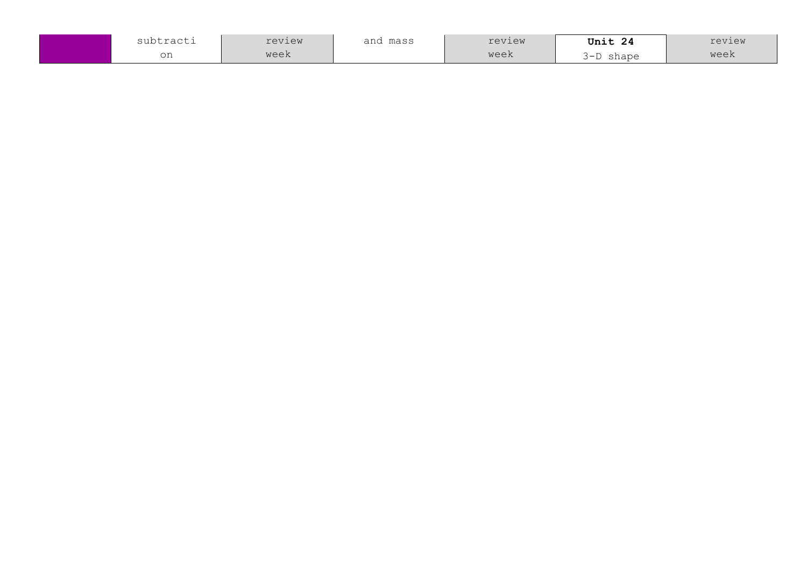| subtracti | review | and<br>mass | review | Unit 24               | review |
|-----------|--------|-------------|--------|-----------------------|--------|
| on        | week   |             | week   | shape<br>$\mathbf{-}$ | week   |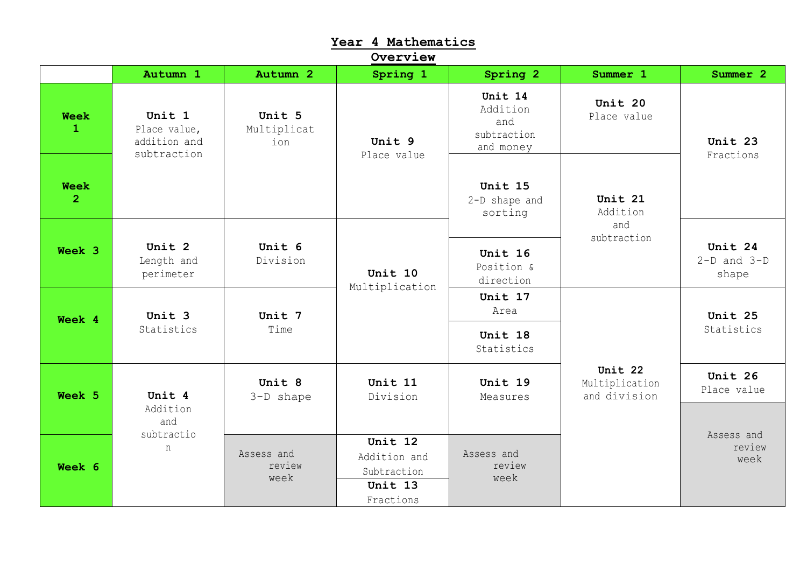| Overview                      |                                                       |                              |                                                                |                                                        |                                           |                                     |  |  |
|-------------------------------|-------------------------------------------------------|------------------------------|----------------------------------------------------------------|--------------------------------------------------------|-------------------------------------------|-------------------------------------|--|--|
|                               | Autumn 1                                              | Autumn 2                     | Spring 1                                                       | Spring 2                                               | Summer 1                                  | Summer 2                            |  |  |
| <b>Week</b><br>$\mathbf{1}$   | Unit 1<br>Place value,<br>addition and<br>subtraction | Unit 5<br>Multiplicat<br>ion | Unit 9<br>Place value                                          | Unit 14<br>Addition<br>and<br>subtraction<br>and money | Unit 20<br>Place value                    | Unit 23<br>Fractions                |  |  |
| <b>Week</b><br>2 <sup>1</sup> |                                                       |                              |                                                                | Unit 15<br>2-D shape and<br>sorting                    | Unit 21<br>Addition                       |                                     |  |  |
| Week 3                        | Unit 2<br>Length and<br>perimeter                     | Unit 6<br>Division           | Unit 10<br>Multiplication                                      | Unit 16<br>Position &<br>direction                     | and<br>subtraction                        | Unit 24<br>$2-D$ and $3-D$<br>shape |  |  |
| Week 4                        | Unit 3                                                | Unit 7<br>Time               |                                                                | Unit 17<br>Area                                        |                                           | Unit 25<br>Statistics               |  |  |
|                               | Statistics                                            |                              |                                                                | Unit 18<br>Statistics                                  |                                           |                                     |  |  |
| Week 5                        | Unit 4                                                | Unit 8<br>3-D shape          | Unit 11<br>Division                                            | Unit 19<br>Measures                                    | Unit 22<br>Multiplication<br>and division | Unit 26<br>Place value              |  |  |
|                               | Addition<br>and<br>subtractio                         |                              |                                                                |                                                        |                                           | Assess and                          |  |  |
| Week 6                        | n                                                     | Assess and<br>review<br>week | Unit 12<br>Addition and<br>Subtraction<br>Unit 13<br>Fractions | Assess and<br>review<br>week                           |                                           | review<br>week                      |  |  |

**Year 4 Mathematics**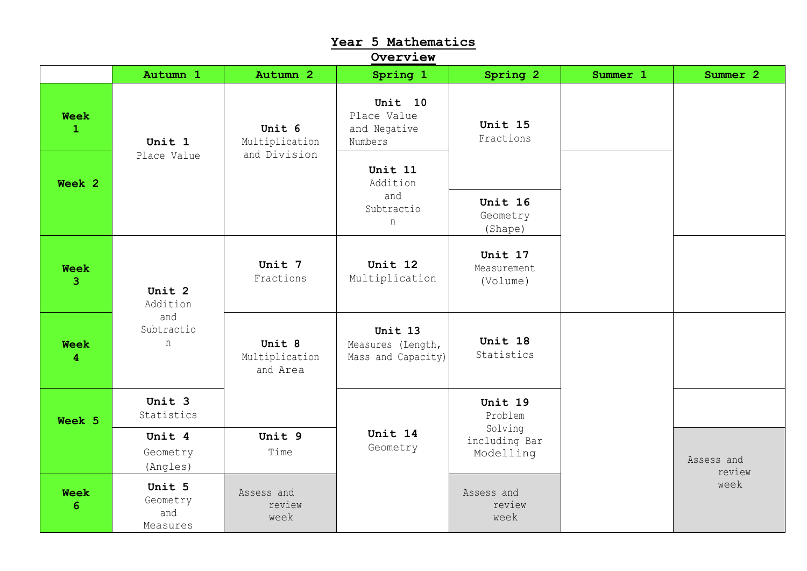| Year 5 Mathematics<br>Overview         |                                       |                                      |                                                    |                                       |          |                      |  |  |  |
|----------------------------------------|---------------------------------------|--------------------------------------|----------------------------------------------------|---------------------------------------|----------|----------------------|--|--|--|
|                                        | Autumn 1                              | Autumn 2                             | Spring 1                                           | Spring 2                              | Summer 1 | Summer 2             |  |  |  |
| <b>Week</b><br>$\mathbf{1}$            | Unit 1                                | Unit 6<br>Multiplication             | Unit 10<br>Place Value<br>and Negative<br>Numbers  | Unit 15<br>Fractions                  |          |                      |  |  |  |
| Week 2                                 | Place Value                           | and Division                         | Unit 11<br>Addition                                |                                       |          |                      |  |  |  |
|                                        |                                       | and<br>Subtractio<br>n               | Unit 16<br>Geometry<br>(Shape)                     |                                       |          |                      |  |  |  |
| <b>Week</b><br>$\overline{3}$          | Unit 2<br>Addition                    | Unit 7<br>Fractions                  | Unit 12<br>Multiplication                          | Unit 17<br>Measurement<br>(Volume)    |          |                      |  |  |  |
| <b>Week</b><br>$\overline{\mathbf{4}}$ | and<br>Subtractio<br>n                | Unit 8<br>Multiplication<br>and Area | Unit 13<br>Measures (Length,<br>Mass and Capacity) | Unit 18<br>Statistics                 |          |                      |  |  |  |
| Week 5                                 | Unit 3<br>Statistics                  |                                      |                                                    | Unit 19<br>Problem                    |          |                      |  |  |  |
|                                        | Unit 4<br>Geometry<br>(Angles)        | Unit 9<br>Time                       | Unit 14<br>Geometry                                | Solving<br>including Bar<br>Modelling |          | Assess and<br>review |  |  |  |
| <b>Week</b><br>6                       | Unit 5<br>Geometry<br>and<br>Measures | Assess and<br>review<br>week         |                                                    | Assess and<br>review<br>week          |          | week                 |  |  |  |